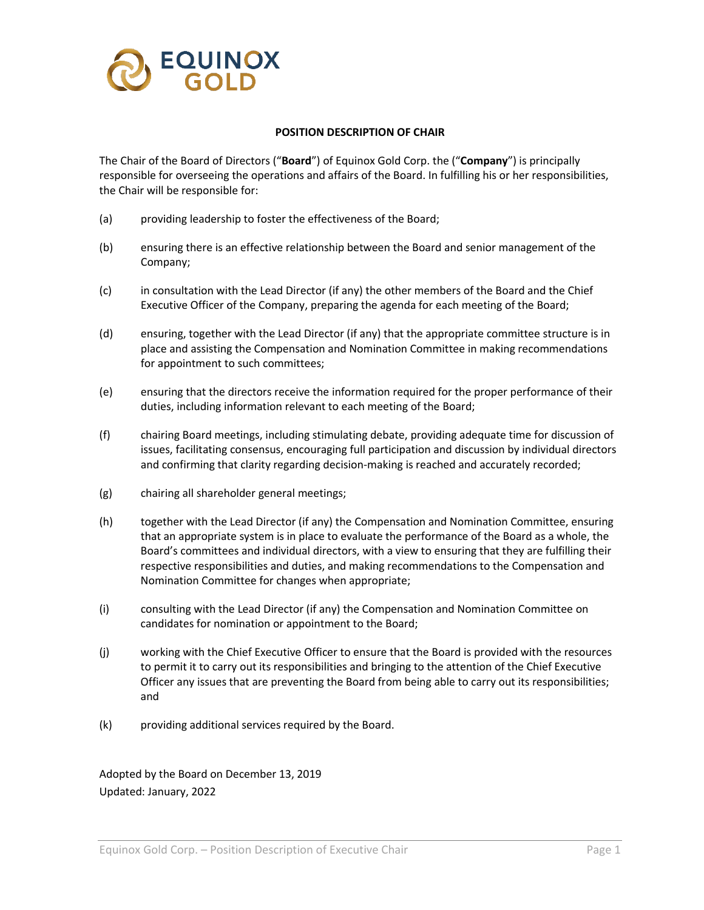

## **POSITION DESCRIPTION OF CHAIR**

The Chair of the Board of Directors ("**Board**") of Equinox Gold Corp. the ("**Company**") is principally responsible for overseeing the operations and affairs of the Board. In fulfilling his or her responsibilities, the Chair will be responsible for:

- (a) providing leadership to foster the effectiveness of the Board;
- (b) ensuring there is an effective relationship between the Board and senior management of the Company;
- (c) in consultation with the Lead Director (if any) the other members of the Board and the Chief Executive Officer of the Company, preparing the agenda for each meeting of the Board;
- (d) ensuring, together with the Lead Director (if any) that the appropriate committee structure is in place and assisting the Compensation and Nomination Committee in making recommendations for appointment to such committees;
- (e) ensuring that the directors receive the information required for the proper performance of their duties, including information relevant to each meeting of the Board;
- (f) chairing Board meetings, including stimulating debate, providing adequate time for discussion of issues, facilitating consensus, encouraging full participation and discussion by individual directors and confirming that clarity regarding decision-making is reached and accurately recorded;
- (g) chairing all shareholder general meetings;
- (h) together with the Lead Director (if any) the Compensation and Nomination Committee, ensuring that an appropriate system is in place to evaluate the performance of the Board as a whole, the Board's committees and individual directors, with a view to ensuring that they are fulfilling their respective responsibilities and duties, and making recommendations to the Compensation and Nomination Committee for changes when appropriate;
- (i) consulting with the Lead Director (if any) the Compensation and Nomination Committee on candidates for nomination or appointment to the Board;
- (j) working with the Chief Executive Officer to ensure that the Board is provided with the resources to permit it to carry out its responsibilities and bringing to the attention of the Chief Executive Officer any issues that are preventing the Board from being able to carry out its responsibilities; and
- (k) providing additional services required by the Board.

Adopted by the Board on December 13, 2019 Updated: January, 2022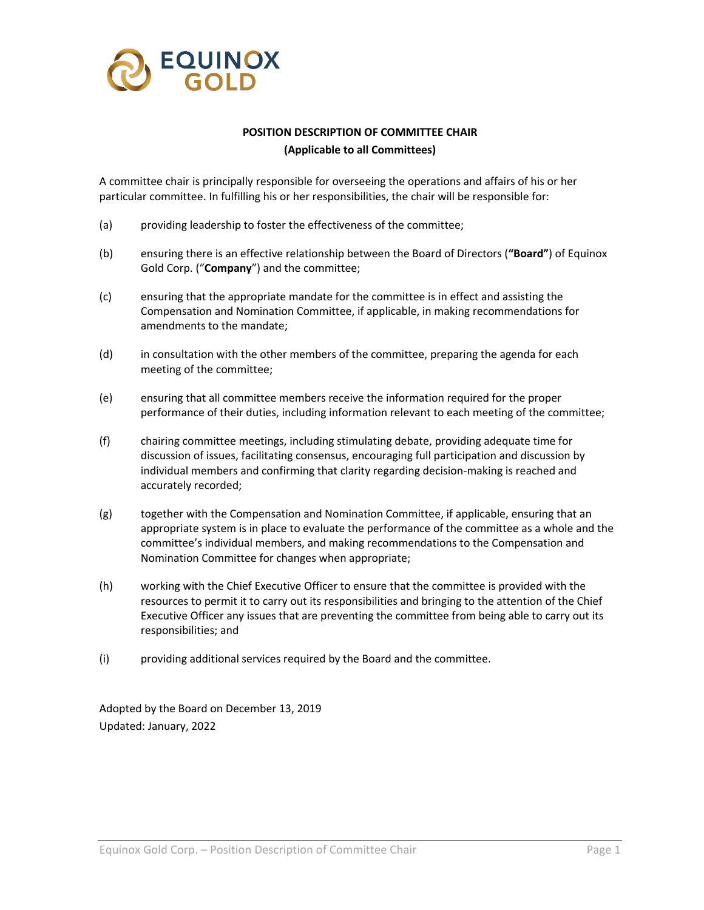

## **POSITION DESCRIPTION OF COMMITTEE CHAIR (Applicable to all Committees)**

A committee chair is principally responsible for overseeing the operations and affairs of his or her particular committee. In fulfilling his or her responsibilities, the chair will be responsible for:

- (a) providing leadership to foster the effectiveness of the committee;
- (b) ensuring there is an effective relationship between the Board of Directors (**"Board"**) of Equinox Gold Corp. ("**Company**") and the committee;
- (c) ensuring that the appropriate mandate for the committee is in effect and assisting the Compensation and Nomination Committee, if applicable, in making recommendations for amendments to the mandate;
- (d) in consultation with the other members of the committee, preparing the agenda for each meeting of the committee;
- (e) ensuring that all committee members receive the information required for the proper performance of their duties, including information relevant to each meeting of the committee;
- (f) chairing committee meetings, including stimulating debate, providing adequate time for discussion of issues, facilitating consensus, encouraging full participation and discussion by individual members and confirming that clarity regarding decision-making is reached and accurately recorded;
- (g) together with the Compensation and Nomination Committee, if applicable, ensuring that an appropriate system is in place to evaluate the performance of the committee as a whole and the committee's individual members, and making recommendations to the Compensation and Nomination Committee for changes when appropriate;
- (h) working with the Chief Executive Officer to ensure that the committee is provided with the resources to permit it to carry out its responsibilities and bringing to the attention of the Chief Executive Officer any issues that are preventing the committee from being able to carry out its responsibilities; and
- (i) providing additional services required by the Board and the committee.

Adopted by the Board on December 13, 2019 Updated: January, 2022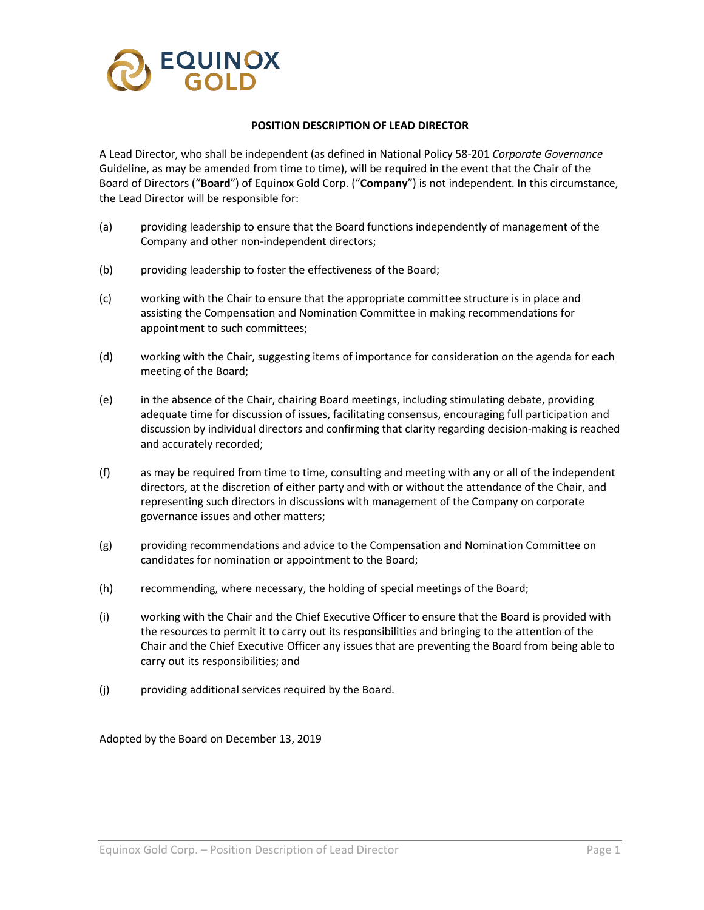

## **POSITION DESCRIPTION OF LEAD DIRECTOR**

A Lead Director, who shall be independent (as defined in National Policy 58-201 *Corporate Governance*  Guideline, as may be amended from time to time), will be required in the event that the Chair of the Board of Directors ("**Board**") of Equinox Gold Corp. ("**Company**") is not independent. In this circumstance, the Lead Director will be responsible for:

- (a) providing leadership to ensure that the Board functions independently of management of the Company and other non-independent directors;
- (b) providing leadership to foster the effectiveness of the Board;
- (c) working with the Chair to ensure that the appropriate committee structure is in place and assisting the Compensation and Nomination Committee in making recommendations for appointment to such committees;
- (d) working with the Chair, suggesting items of importance for consideration on the agenda for each meeting of the Board;
- (e) in the absence of the Chair, chairing Board meetings, including stimulating debate, providing adequate time for discussion of issues, facilitating consensus, encouraging full participation and discussion by individual directors and confirming that clarity regarding decision-making is reached and accurately recorded;
- (f) as may be required from time to time, consulting and meeting with any or all of the independent directors, at the discretion of either party and with or without the attendance of the Chair, and representing such directors in discussions with management of the Company on corporate governance issues and other matters;
- (g) providing recommendations and advice to the Compensation and Nomination Committee on candidates for nomination or appointment to the Board;
- (h) recommending, where necessary, the holding of special meetings of the Board;
- (i) working with the Chair and the Chief Executive Officer to ensure that the Board is provided with the resources to permit it to carry out its responsibilities and bringing to the attention of the Chair and the Chief Executive Officer any issues that are preventing the Board from being able to carry out its responsibilities; and
- (j) providing additional services required by the Board.

Adopted by the Board on December 13, 2019